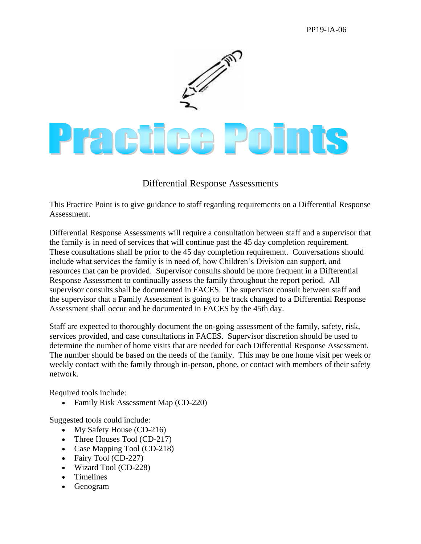## PP19-IA-06



## Differential Response Assessments

This Practice Point is to give guidance to staff regarding requirements on a Differential Response Assessment.

Differential Response Assessments will require a consultation between staff and a supervisor that the family is in need of services that will continue past the 45 day completion requirement. These consultations shall be prior to the 45 day completion requirement. Conversations should include what services the family is in need of, how Children's Division can support, and resources that can be provided. Supervisor consults should be more frequent in a Differential Response Assessment to continually assess the family throughout the report period. All supervisor consults shall be documented in FACES. The supervisor consult between staff and the supervisor that a Family Assessment is going to be track changed to a Differential Response Assessment shall occur and be documented in FACES by the 45th day.

Staff are expected to thoroughly document the on-going assessment of the family, safety, risk, services provided, and case consultations in FACES. Supervisor discretion should be used to determine the number of home visits that are needed for each Differential Response Assessment. The number should be based on the needs of the family. This may be one home visit per week or weekly contact with the family through in-person, phone, or contact with members of their safety network.

Required tools include:

Family Risk Assessment Map (CD-220)

Suggested tools could include:

- My Safety House (CD-216)
- Three Houses Tool (CD-217)
- Case Mapping Tool (CD-218)
- Fairy Tool (CD-227)
- Wizard Tool (CD-228)
- Timelines
- Genogram